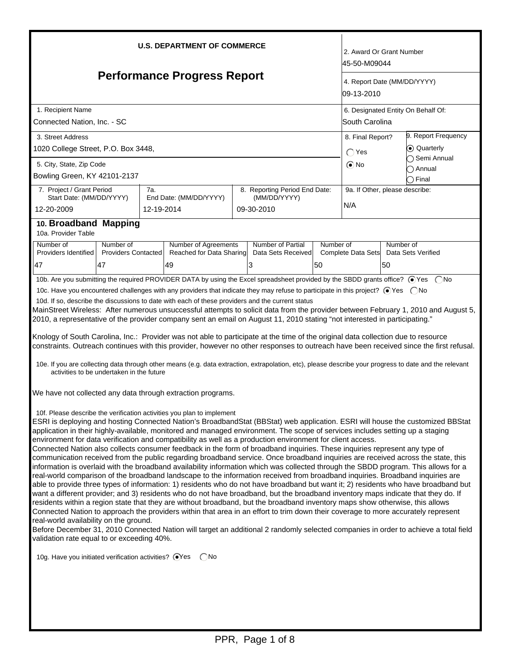| <b>U.S. DEPARTMENT OF COMMERCE</b>                                                                                                                                                                                                                                                                                                                                                                                                                                                                                                                                                                                                                                                                                                                                                                                                                                                                                                                                                                                                                                                                                                                                                                                                                                                                                                                                                                                                                                                                                                                                                                                                                                                                                                                                                                                                                                                                                                                                                                                                                                                                                                                                                                                                                                                                                                                                                                                                                                                                                                                                                                                                                                                                                                                                                                                                                                                                                                       |                                                                                                                                                               |                   |                        |  |                                                             | 2. Award Or Grant Number<br>l45-50-M09044                   |                                                  |                                                       |                                              |  |
|------------------------------------------------------------------------------------------------------------------------------------------------------------------------------------------------------------------------------------------------------------------------------------------------------------------------------------------------------------------------------------------------------------------------------------------------------------------------------------------------------------------------------------------------------------------------------------------------------------------------------------------------------------------------------------------------------------------------------------------------------------------------------------------------------------------------------------------------------------------------------------------------------------------------------------------------------------------------------------------------------------------------------------------------------------------------------------------------------------------------------------------------------------------------------------------------------------------------------------------------------------------------------------------------------------------------------------------------------------------------------------------------------------------------------------------------------------------------------------------------------------------------------------------------------------------------------------------------------------------------------------------------------------------------------------------------------------------------------------------------------------------------------------------------------------------------------------------------------------------------------------------------------------------------------------------------------------------------------------------------------------------------------------------------------------------------------------------------------------------------------------------------------------------------------------------------------------------------------------------------------------------------------------------------------------------------------------------------------------------------------------------------------------------------------------------------------------------------------------------------------------------------------------------------------------------------------------------------------------------------------------------------------------------------------------------------------------------------------------------------------------------------------------------------------------------------------------------------------------------------------------------------------------------------------------------|---------------------------------------------------------------------------------------------------------------------------------------------------------------|-------------------|------------------------|--|-------------------------------------------------------------|-------------------------------------------------------------|--------------------------------------------------|-------------------------------------------------------|----------------------------------------------|--|
| <b>Performance Progress Report</b>                                                                                                                                                                                                                                                                                                                                                                                                                                                                                                                                                                                                                                                                                                                                                                                                                                                                                                                                                                                                                                                                                                                                                                                                                                                                                                                                                                                                                                                                                                                                                                                                                                                                                                                                                                                                                                                                                                                                                                                                                                                                                                                                                                                                                                                                                                                                                                                                                                                                                                                                                                                                                                                                                                                                                                                                                                                                                                       |                                                                                                                                                               |                   |                        |  |                                                             | 4. Report Date (MM/DD/YYYY)<br>109-13-2010                  |                                                  |                                                       |                                              |  |
| 1. Recipient Name<br>Connected Nation, Inc. - SC                                                                                                                                                                                                                                                                                                                                                                                                                                                                                                                                                                                                                                                                                                                                                                                                                                                                                                                                                                                                                                                                                                                                                                                                                                                                                                                                                                                                                                                                                                                                                                                                                                                                                                                                                                                                                                                                                                                                                                                                                                                                                                                                                                                                                                                                                                                                                                                                                                                                                                                                                                                                                                                                                                                                                                                                                                                                                         |                                                                                                                                                               |                   |                        |  |                                                             |                                                             |                                                  | 6. Designated Entity On Behalf Of:<br>lSouth Carolina |                                              |  |
| 3. Street Address<br>1020 College Street, P.O. Box 3448,                                                                                                                                                                                                                                                                                                                                                                                                                                                                                                                                                                                                                                                                                                                                                                                                                                                                                                                                                                                                                                                                                                                                                                                                                                                                                                                                                                                                                                                                                                                                                                                                                                                                                                                                                                                                                                                                                                                                                                                                                                                                                                                                                                                                                                                                                                                                                                                                                                                                                                                                                                                                                                                                                                                                                                                                                                                                                 |                                                                                                                                                               |                   |                        |  |                                                             |                                                             | 8. Final Report?<br>C Quarterly<br>$\bigcap$ Yes |                                                       | 9. Report Frequency                          |  |
| 5. City, State, Zip Code<br>Bowling Green, KY 42101-2137                                                                                                                                                                                                                                                                                                                                                                                                                                                                                                                                                                                                                                                                                                                                                                                                                                                                                                                                                                                                                                                                                                                                                                                                                                                                                                                                                                                                                                                                                                                                                                                                                                                                                                                                                                                                                                                                                                                                                                                                                                                                                                                                                                                                                                                                                                                                                                                                                                                                                                                                                                                                                                                                                                                                                                                                                                                                                 |                                                                                                                                                               |                   |                        |  |                                                             |                                                             | $\odot$ No                                       |                                                       | ◯ Semi Annual<br>◯ Annual<br>$\supset$ Final |  |
| 7. Project / Grant Period<br>Start Date: (MM/DD/YYYY)<br>12-20-2009                                                                                                                                                                                                                                                                                                                                                                                                                                                                                                                                                                                                                                                                                                                                                                                                                                                                                                                                                                                                                                                                                                                                                                                                                                                                                                                                                                                                                                                                                                                                                                                                                                                                                                                                                                                                                                                                                                                                                                                                                                                                                                                                                                                                                                                                                                                                                                                                                                                                                                                                                                                                                                                                                                                                                                                                                                                                      |                                                                                                                                                               | 7а.<br>12-19-2014 | End Date: (MM/DD/YYYY) |  | 8. Reporting Period End Date:<br>(MM/DD/YYYY)<br>09-30-2010 |                                                             | 9a. If Other, please describe:<br>N/A            |                                                       |                                              |  |
| 10. Broadband Mapping<br>10a. Provider Table                                                                                                                                                                                                                                                                                                                                                                                                                                                                                                                                                                                                                                                                                                                                                                                                                                                                                                                                                                                                                                                                                                                                                                                                                                                                                                                                                                                                                                                                                                                                                                                                                                                                                                                                                                                                                                                                                                                                                                                                                                                                                                                                                                                                                                                                                                                                                                                                                                                                                                                                                                                                                                                                                                                                                                                                                                                                                             |                                                                                                                                                               |                   |                        |  |                                                             |                                                             |                                                  |                                                       |                                              |  |
| Number of<br>Providers Identified<br>47                                                                                                                                                                                                                                                                                                                                                                                                                                                                                                                                                                                                                                                                                                                                                                                                                                                                                                                                                                                                                                                                                                                                                                                                                                                                                                                                                                                                                                                                                                                                                                                                                                                                                                                                                                                                                                                                                                                                                                                                                                                                                                                                                                                                                                                                                                                                                                                                                                                                                                                                                                                                                                                                                                                                                                                                                                                                                                  | Number of<br>Number of Agreements<br>Number of Partial<br><b>Providers Contacted</b><br>Reached for Data Sharing<br>Data Sets Received<br>47<br>49<br>3<br>50 |                   |                        |  | Number of                                                   | Number of<br>Data Sets Verified<br>Complete Data Sets<br>50 |                                                  |                                                       |                                              |  |
| 10b. Are you submitting the required PROVIDER DATA by using the Excel spreadsheet provided by the SBDD grants office? ⊙Yes (No<br>10c. Have you encountered challenges with any providers that indicate they may refuse to participate in this project? ● Yes ● No<br>10d. If so, describe the discussions to date with each of these providers and the current status<br>MainStreet Wireless: After numerous unsuccessful attempts to solicit data from the provider between February 1, 2010 and August 5,<br>2010, a representative of the provider company sent an email on August 11, 2010 stating "not interested in participating."<br>Knology of South Carolina, Inc.: Provider was not able to participate at the time of the original data collection due to resource<br>constraints. Outreach continues with this provider, however no other responses to outreach have been received since the first refusal.<br>10e. If you are collecting data through other means (e.g. data extraction, extrapolation, etc), please describe your progress to date and the relevant<br>activities to be undertaken in the future<br>We have not collected any data through extraction programs.<br>10f. Please describe the verification activities you plan to implement<br>ESRI is deploying and hosting Connected Nation's BroadbandStat (BBStat) web application. ESRI will house the customized BBStat<br>application in their highly-available, monitored and managed environment. The scope of services includes setting up a staging<br>environment for data verification and compatibility as well as a production environment for client access.<br>Connected Nation also collects consumer feedback in the form of broadband inquiries. These inquiries represent any type of<br>communication received from the public regarding broadband service. Once broadband inquiries are received across the state, this<br>information is overlaid with the broadband availability information which was collected through the SBDD program. This allows for a<br>real-world comparison of the broadband landscape to the information received from broadband inquiries. Broadband inquiries are<br>able to provide three types of information: 1) residents who do not have broadband but want it; 2) residents who have broadband but<br>want a different provider; and 3) residents who do not have broadband, but the broadband inventory maps indicate that they do. If<br>residents within a region state that they are without broadband, but the broadband inventory maps show otherwise, this allows<br>Connected Nation to approach the providers within that area in an effort to trim down their coverage to more accurately represent<br>real-world availability on the ground.<br>Before December 31, 2010 Connected Nation will target an additional 2 randomly selected companies in order to achieve a total field |                                                                                                                                                               |                   |                        |  |                                                             |                                                             |                                                  |                                                       |                                              |  |
| 10g. Have you initiated verification activities? @Yes<br>$\bigcap$ No                                                                                                                                                                                                                                                                                                                                                                                                                                                                                                                                                                                                                                                                                                                                                                                                                                                                                                                                                                                                                                                                                                                                                                                                                                                                                                                                                                                                                                                                                                                                                                                                                                                                                                                                                                                                                                                                                                                                                                                                                                                                                                                                                                                                                                                                                                                                                                                                                                                                                                                                                                                                                                                                                                                                                                                                                                                                    |                                                                                                                                                               |                   |                        |  |                                                             |                                                             |                                                  |                                                       |                                              |  |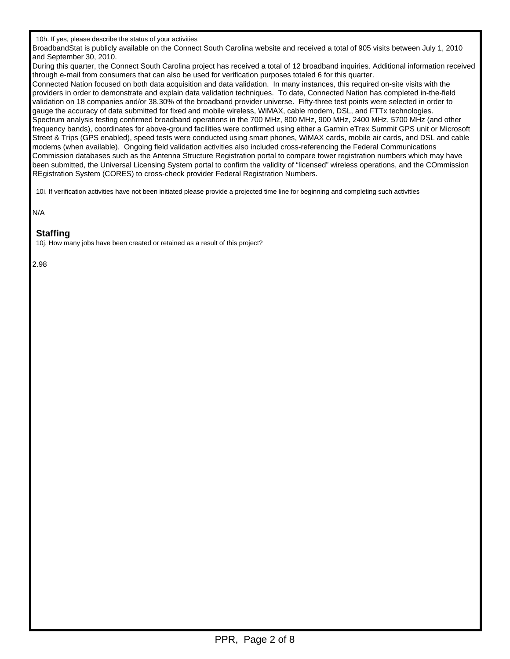BroadbandStat is publicly available on the Connect South Carolina website and received a total of 905 visits between July 1, 2010 and September 30, 2010.

During this quarter, the Connect South Carolina project has received a total of 12 broadband inquiries. Additional information received through e-mail from consumers that can also be used for verification purposes totaled 6 for this quarter.

Connected Nation focused on both data acquisition and data validation. In many instances, this required on-site visits with the providers in order to demonstrate and explain data validation techniques. To date, Connected Nation has completed in-the-field validation on 18 companies and/or 38.30% of the broadband provider universe. Fifty-three test points were selected in order to gauge the accuracy of data submitted for fixed and mobile wireless, WiMAX, cable modem, DSL, and FTTx technologies. Spectrum analysis testing confirmed broadband operations in the 700 MHz, 800 MHz, 900 MHz, 2400 MHz, 5700 MHz (and other frequency bands), coordinates for above-ground facilities were confirmed using either a Garmin eTrex Summit GPS unit or Microsoft Street & Trips (GPS enabled), speed tests were conducted using smart phones, WiMAX cards, mobile air cards, and DSL and cable modems (when available). Ongoing field validation activities also included cross-referencing the Federal Communications Commission databases such as the Antenna Structure Registration portal to compare tower registration numbers which may have been submitted, the Universal Licensing System portal to confirm the validity of "licensed" wireless operations, and the COmmission REgistration System (CORES) to cross-check provider Federal Registration Numbers.

10i. If verification activities have not been initiated please provide a projected time line for beginning and completing such activities

N/A

## **Staffing**

10j. How many jobs have been created or retained as a result of this project?

2.98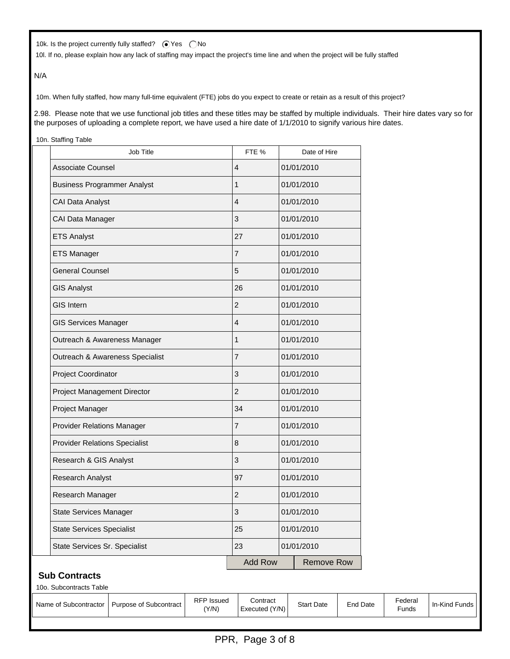10k. Is the project currently fully staffed?  $\bigcirc$  Yes  $\bigcirc$  No

10l. If no, please explain how any lack of staffing may impact the project's time line and when the project will be fully staffed

N/A

10m. When fully staffed, how many full-time equivalent (FTE) jobs do you expect to create or retain as a result of this project?

2.98. Please note that we use functional job titles and these titles may be staffed by multiple individuals. Their hire dates vary so for the purposes of uploading a complete report, we have used a hire date of 1/1/2010 to signify various hire dates.

10n. Staffing Table

| <b>Job Title</b>                     | FTE %          |            | Date of Hire      |  |
|--------------------------------------|----------------|------------|-------------------|--|
| Associate Counsel                    | 4              |            | 01/01/2010        |  |
| <b>Business Programmer Analyst</b>   | $\mathbf{1}$   |            | 01/01/2010        |  |
| CAI Data Analyst                     | 4              |            | 01/01/2010        |  |
| CAI Data Manager                     | 3              |            | 01/01/2010        |  |
| <b>ETS Analyst</b>                   | 27             |            | 01/01/2010        |  |
| <b>ETS Manager</b>                   | $\overline{7}$ |            | 01/01/2010        |  |
| <b>General Counsel</b>               | 5              |            | 01/01/2010        |  |
| <b>GIS Analyst</b>                   | 26             |            | 01/01/2010        |  |
| <b>GIS Intern</b>                    | $\overline{2}$ |            | 01/01/2010        |  |
| <b>GIS Services Manager</b>          | 4              | 01/01/2010 |                   |  |
| Outreach & Awareness Manager         | $\mathbf{1}$   | 01/01/2010 |                   |  |
| Outreach & Awareness Specialist      | $\overline{7}$ |            | 01/01/2010        |  |
| Project Coordinator                  | 3              |            | 01/01/2010        |  |
| Project Management Director          | $\overline{2}$ |            | 01/01/2010        |  |
| Project Manager                      | 34             |            | 01/01/2010        |  |
| <b>Provider Relations Manager</b>    | $\overline{7}$ |            | 01/01/2010        |  |
| <b>Provider Relations Specialist</b> | 8              | 01/01/2010 |                   |  |
| Research & GIS Analyst               | 3              | 01/01/2010 |                   |  |
| Research Analyst                     | 97             | 01/01/2010 |                   |  |
| Research Manager                     | $\overline{2}$ | 01/01/2010 |                   |  |
| <b>State Services Manager</b>        | 3              | 01/01/2010 |                   |  |
| <b>State Services Specialist</b>     | 25             |            | 01/01/2010        |  |
| State Services Sr. Specialist        | 23             | 01/01/2010 |                   |  |
|                                      | Add Row        |            | <b>Remove Row</b> |  |

## **Sub Contracts**

| 10o. Subcontracts Table |                        |                            |                            |                   |                 |                  |                 |  |
|-------------------------|------------------------|----------------------------|----------------------------|-------------------|-----------------|------------------|-----------------|--|
| Name of Subcontractor   | Purpose of Subcontract | <b>RFP</b> Issued<br>(Y/N) | Contract<br>Executed (Y/N) | <b>Start Date</b> | <b>End Date</b> | Federal<br>Funds | In-Kind Funds I |  |
|                         |                        |                            |                            |                   |                 |                  |                 |  |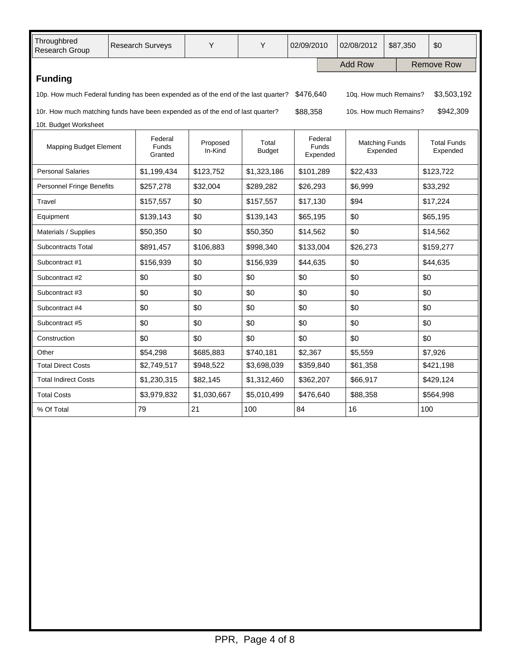| Throughbred<br>Research Group                                                                                             | <b>Research Surveys</b> |                                    | Y                   | Y                      | 02/09/2010                   | 02/08/2012            | \$87,350                          |             | \$0                            |  |
|---------------------------------------------------------------------------------------------------------------------------|-------------------------|------------------------------------|---------------------|------------------------|------------------------------|-----------------------|-----------------------------------|-------------|--------------------------------|--|
|                                                                                                                           |                         |                                    |                     |                        |                              | <b>Add Row</b>        |                                   |             | <b>Remove Row</b>              |  |
| <b>Funding</b>                                                                                                            |                         |                                    |                     |                        |                              |                       |                                   |             |                                |  |
| \$476,640<br>10p. How much Federal funding has been expended as of the end of the last quarter?<br>10q. How much Remains? |                         |                                    |                     |                        |                              |                       |                                   | \$3,503,192 |                                |  |
| 10r. How much matching funds have been expended as of the end of last quarter?<br>\$88,358<br>10s. How much Remains?      |                         |                                    |                     |                        |                              |                       | \$942,309                         |             |                                |  |
| 10t. Budget Worksheet                                                                                                     |                         |                                    |                     |                        |                              |                       |                                   |             |                                |  |
| <b>Mapping Budget Element</b>                                                                                             |                         | Federal<br><b>Funds</b><br>Granted | Proposed<br>In-Kind | Total<br><b>Budget</b> | Federal<br>Funds<br>Expended |                       | <b>Matching Funds</b><br>Expended |             | <b>Total Funds</b><br>Expended |  |
| <b>Personal Salaries</b>                                                                                                  |                         | \$1,199,434                        | \$123,752           | \$1,323,186            | \$101,289                    | \$22,433              |                                   | \$123,722   |                                |  |
| <b>Personnel Fringe Benefits</b>                                                                                          |                         | \$257,278                          | \$32,004            | \$289,282              | \$26,293                     | \$6,999               |                                   |             | \$33,292                       |  |
| Travel                                                                                                                    | \$157,557               |                                    | \$0                 | \$157,557              | \$17,130                     | \$94                  |                                   |             | \$17,224                       |  |
| Equipment                                                                                                                 |                         | \$139,143                          | \$0                 | \$139,143              | \$65,195                     | \$0                   |                                   |             | \$65,195                       |  |
| Materials / Supplies                                                                                                      |                         | \$50,350                           | \$0                 | \$50,350               | \$14,562                     | \$0                   |                                   |             | \$14,562                       |  |
| Subcontracts Total                                                                                                        |                         | \$891,457                          | \$106,883           | \$998,340              | \$133,004                    | \$26,273              |                                   |             | \$159,277                      |  |
| Subcontract #1                                                                                                            |                         | \$156,939                          | \$0                 | \$156,939              | \$44,635                     | \$0                   |                                   |             | \$44,635                       |  |
| Subcontract #2                                                                                                            |                         | \$0                                | \$0                 | \$0                    | \$0                          | \$0                   |                                   | \$0         |                                |  |
| Subcontract #3                                                                                                            |                         |                                    | \$0                 | \$0                    | \$0                          | \$0                   |                                   |             | \$0                            |  |
| Subcontract #4                                                                                                            | \$0                     |                                    | \$0                 | \$0                    | \$0                          | \$0                   |                                   | \$0         |                                |  |
| Subcontract #5                                                                                                            | \$0                     |                                    | \$0                 | \$0                    | \$0                          | \$0                   |                                   |             | \$0                            |  |
| Construction                                                                                                              | \$0                     |                                    | \$0                 | \$0                    | \$0<br>\$0                   |                       |                                   | \$0         |                                |  |
| \$54,298<br>Other                                                                                                         |                         |                                    | \$685,883           | \$740,181              | \$2,367                      | \$5,559               |                                   |             | \$7,926                        |  |
| <b>Total Direct Costs</b>                                                                                                 |                         | \$2,749,517                        | \$948,522           | \$3,698,039            |                              | \$359,840<br>\$61,358 |                                   |             | \$421,198                      |  |
| <b>Total Indirect Costs</b>                                                                                               |                         | \$1,230,315                        | \$82,145            | \$1,312,460            |                              | \$362,207<br>\$66,917 |                                   | \$429,124   |                                |  |
| <b>Total Costs</b>                                                                                                        |                         | \$3,979,832                        | \$1,030,667         | \$5,010,499            | \$476,640                    | \$88,358              |                                   | \$564,998   |                                |  |
| 79<br>% Of Total                                                                                                          |                         | 21                                 | 100                 | 84                     | 16                           |                       | 100                               |             |                                |  |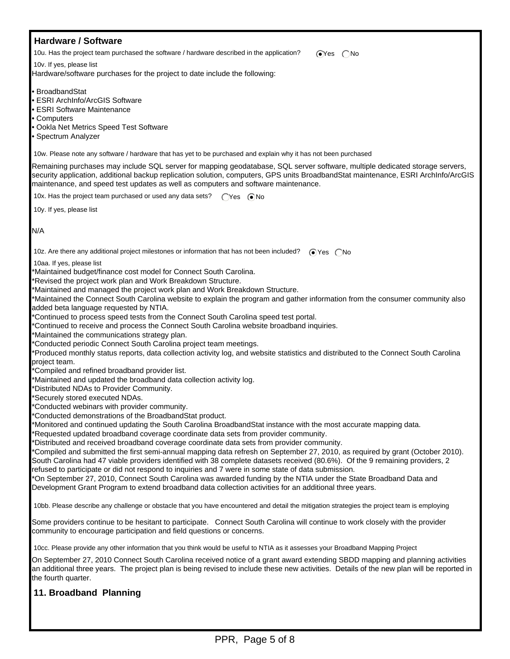| <b>Hardware / Software</b>                                                                                                                                                                                                                                                                                                                                                                                                                                                                                                                                                                                                                                                                                                                                                                                                                                                                                                                                                                                                                                                                                                                                                                                                                                                                                                                                                                                                                                                                                                                                                                                                                                                                                                                                                                                                                                                                                                                                                                                                                                                                                                   |
|------------------------------------------------------------------------------------------------------------------------------------------------------------------------------------------------------------------------------------------------------------------------------------------------------------------------------------------------------------------------------------------------------------------------------------------------------------------------------------------------------------------------------------------------------------------------------------------------------------------------------------------------------------------------------------------------------------------------------------------------------------------------------------------------------------------------------------------------------------------------------------------------------------------------------------------------------------------------------------------------------------------------------------------------------------------------------------------------------------------------------------------------------------------------------------------------------------------------------------------------------------------------------------------------------------------------------------------------------------------------------------------------------------------------------------------------------------------------------------------------------------------------------------------------------------------------------------------------------------------------------------------------------------------------------------------------------------------------------------------------------------------------------------------------------------------------------------------------------------------------------------------------------------------------------------------------------------------------------------------------------------------------------------------------------------------------------------------------------------------------------|
| 10u. Has the project team purchased the software / hardware described in the application?<br>$OY$ es $ON$ o                                                                                                                                                                                                                                                                                                                                                                                                                                                                                                                                                                                                                                                                                                                                                                                                                                                                                                                                                                                                                                                                                                                                                                                                                                                                                                                                                                                                                                                                                                                                                                                                                                                                                                                                                                                                                                                                                                                                                                                                                  |
| 10v. If yes, please list                                                                                                                                                                                                                                                                                                                                                                                                                                                                                                                                                                                                                                                                                                                                                                                                                                                                                                                                                                                                                                                                                                                                                                                                                                                                                                                                                                                                                                                                                                                                                                                                                                                                                                                                                                                                                                                                                                                                                                                                                                                                                                     |
| Hardware/software purchases for the project to date include the following:                                                                                                                                                                                                                                                                                                                                                                                                                                                                                                                                                                                                                                                                                                                                                                                                                                                                                                                                                                                                                                                                                                                                                                                                                                                                                                                                                                                                                                                                                                                                                                                                                                                                                                                                                                                                                                                                                                                                                                                                                                                   |
| • BroadbandStat<br><b>ESRI ArchInfo/ArcGIS Software</b><br>• ESRI Software Maintenance<br>• Computers<br>• Ookla Net Metrics Speed Test Software<br>• Spectrum Analyzer                                                                                                                                                                                                                                                                                                                                                                                                                                                                                                                                                                                                                                                                                                                                                                                                                                                                                                                                                                                                                                                                                                                                                                                                                                                                                                                                                                                                                                                                                                                                                                                                                                                                                                                                                                                                                                                                                                                                                      |
| 10w. Please note any software / hardware that has yet to be purchased and explain why it has not been purchased                                                                                                                                                                                                                                                                                                                                                                                                                                                                                                                                                                                                                                                                                                                                                                                                                                                                                                                                                                                                                                                                                                                                                                                                                                                                                                                                                                                                                                                                                                                                                                                                                                                                                                                                                                                                                                                                                                                                                                                                              |
| Remaining purchases may include SQL server for mapping geodatabase, SQL server software, multiple dedicated storage servers,<br>security application, additional backup replication solution, computers, GPS units BroadbandStat maintenance, ESRI ArchInfo/ArcGIS<br>maintenance, and speed test updates as well as computers and software maintenance.                                                                                                                                                                                                                                                                                                                                                                                                                                                                                                                                                                                                                                                                                                                                                                                                                                                                                                                                                                                                                                                                                                                                                                                                                                                                                                                                                                                                                                                                                                                                                                                                                                                                                                                                                                     |
| 10x. Has the project team purchased or used any data sets?<br>$\bigcap$ Yes $\bigcirc$ No                                                                                                                                                                                                                                                                                                                                                                                                                                                                                                                                                                                                                                                                                                                                                                                                                                                                                                                                                                                                                                                                                                                                                                                                                                                                                                                                                                                                                                                                                                                                                                                                                                                                                                                                                                                                                                                                                                                                                                                                                                    |
| 10y. If yes, please list                                                                                                                                                                                                                                                                                                                                                                                                                                                                                                                                                                                                                                                                                                                                                                                                                                                                                                                                                                                                                                                                                                                                                                                                                                                                                                                                                                                                                                                                                                                                                                                                                                                                                                                                                                                                                                                                                                                                                                                                                                                                                                     |
| N/A                                                                                                                                                                                                                                                                                                                                                                                                                                                                                                                                                                                                                                                                                                                                                                                                                                                                                                                                                                                                                                                                                                                                                                                                                                                                                                                                                                                                                                                                                                                                                                                                                                                                                                                                                                                                                                                                                                                                                                                                                                                                                                                          |
| 10z. Are there any additional project milestones or information that has not been included?<br>$OYes$ $No$                                                                                                                                                                                                                                                                                                                                                                                                                                                                                                                                                                                                                                                                                                                                                                                                                                                                                                                                                                                                                                                                                                                                                                                                                                                                                                                                                                                                                                                                                                                                                                                                                                                                                                                                                                                                                                                                                                                                                                                                                   |
| 10aa. If yes, please list<br>Maintained budget/finance cost model for Connect South Carolina.<br>Revised the project work plan and Work Breakdown Structure.<br>'Maintained and managed the project work plan and Work Breakdown Structure.<br>'Maintained the Connect South Carolina website to explain the program and gather information from the consumer community also<br>added beta language requested by NTIA.<br>*Continued to process speed tests from the Connect South Carolina speed test portal.<br>*Continued to receive and process the Connect South Carolina website broadband inquiries.<br>*Maintained the communications strategy plan.<br>'Conducted periodic Connect South Carolina project team meetings.<br>Produced monthly status reports, data collection activity log, and website statistics and distributed to the Connect South Carolina<br>project team.<br>*Compiled and refined broadband provider list.<br>*Maintained and updated the broadband data collection activity log.<br>*Distributed NDAs to Provider Community.<br>*Securely stored executed NDAs.<br>Conducted webinars with provider community.<br>*Conducted demonstrations of the BroadbandStat product.<br>'Monitored and continued updating the South Carolina BroadbandStat instance with the most accurate mapping data.<br>Requested updated broadband coverage coordinate data sets from provider community.<br>Distributed and received broadband coverage coordinate data sets from provider community.<br>'Compiled and submitted the first semi-annual mapping data refresh on September 27, 2010, as required by grant (October 2010).<br>South Carolina had 47 viable providers identified with 38 complete datasets received (80.6%). Of the 9 remaining providers, 2<br>refused to participate or did not respond to inquiries and 7 were in some state of data submission.<br>*On September 27, 2010, Connect South Carolina was awarded funding by the NTIA under the State Broadband Data and<br>Development Grant Program to extend broadband data collection activities for an additional three years. |
| 10bb. Please describe any challenge or obstacle that you have encountered and detail the mitigation strategies the project team is employing                                                                                                                                                                                                                                                                                                                                                                                                                                                                                                                                                                                                                                                                                                                                                                                                                                                                                                                                                                                                                                                                                                                                                                                                                                                                                                                                                                                                                                                                                                                                                                                                                                                                                                                                                                                                                                                                                                                                                                                 |
| Some providers continue to be hesitant to participate. Connect South Carolina will continue to work closely with the provider<br>community to encourage participation and field questions or concerns.                                                                                                                                                                                                                                                                                                                                                                                                                                                                                                                                                                                                                                                                                                                                                                                                                                                                                                                                                                                                                                                                                                                                                                                                                                                                                                                                                                                                                                                                                                                                                                                                                                                                                                                                                                                                                                                                                                                       |
| 10cc. Please provide any other information that you think would be useful to NTIA as it assesses your Broadband Mapping Project                                                                                                                                                                                                                                                                                                                                                                                                                                                                                                                                                                                                                                                                                                                                                                                                                                                                                                                                                                                                                                                                                                                                                                                                                                                                                                                                                                                                                                                                                                                                                                                                                                                                                                                                                                                                                                                                                                                                                                                              |
| On September 27, 2010 Connect South Carolina received notice of a grant award extending SBDD mapping and planning activities<br>an additional three years. The project plan is being revised to include these new activities. Details of the new plan will be reported in<br>the fourth quarter.                                                                                                                                                                                                                                                                                                                                                                                                                                                                                                                                                                                                                                                                                                                                                                                                                                                                                                                                                                                                                                                                                                                                                                                                                                                                                                                                                                                                                                                                                                                                                                                                                                                                                                                                                                                                                             |
| 11. Broadband Planning                                                                                                                                                                                                                                                                                                                                                                                                                                                                                                                                                                                                                                                                                                                                                                                                                                                                                                                                                                                                                                                                                                                                                                                                                                                                                                                                                                                                                                                                                                                                                                                                                                                                                                                                                                                                                                                                                                                                                                                                                                                                                                       |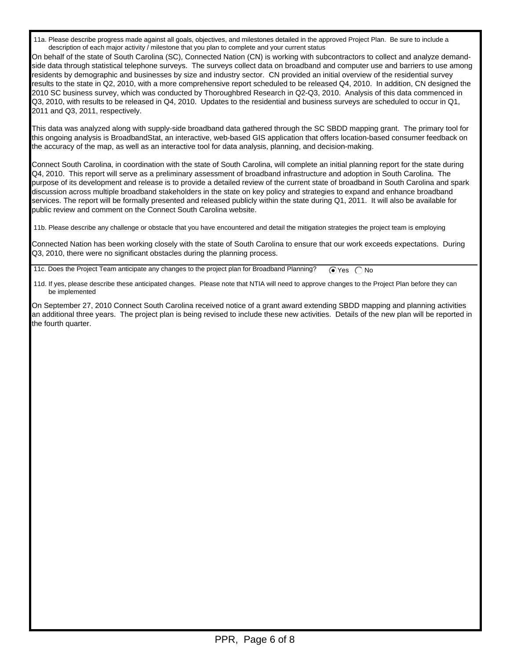11a. Please describe progress made against all goals, objectives, and milestones detailed in the approved Project Plan. Be sure to include a description of each major activity / milestone that you plan to complete and your current status

On behalf of the state of South Carolina (SC), Connected Nation (CN) is working with subcontractors to collect and analyze demandside data through statistical telephone surveys. The surveys collect data on broadband and computer use and barriers to use among residents by demographic and businesses by size and industry sector. CN provided an initial overview of the residential survey results to the state in Q2, 2010, with a more comprehensive report scheduled to be released Q4, 2010. In addition, CN designed the 2010 SC business survey, which was conducted by Thoroughbred Research in Q2-Q3, 2010. Analysis of this data commenced in Q3, 2010, with results to be released in Q4, 2010. Updates to the residential and business surveys are scheduled to occur in Q1, 2011 and Q3, 2011, respectively.

This data was analyzed along with supply-side broadband data gathered through the SC SBDD mapping grant. The primary tool for this ongoing analysis is BroadbandStat, an interactive, web-based GIS application that offers location-based consumer feedback on the accuracy of the map, as well as an interactive tool for data analysis, planning, and decision-making.

Connect South Carolina, in coordination with the state of South Carolina, will complete an initial planning report for the state during Q4, 2010. This report will serve as a preliminary assessment of broadband infrastructure and adoption in South Carolina. The purpose of its development and release is to provide a detailed review of the current state of broadband in South Carolina and spark discussion across multiple broadband stakeholders in the state on key policy and strategies to expand and enhance broadband services. The report will be formally presented and released publicly within the state during Q1, 2011. It will also be available for public review and comment on the Connect South Carolina website.

11b. Please describe any challenge or obstacle that you have encountered and detail the mitigation strategies the project team is employing

Connected Nation has been working closely with the state of South Carolina to ensure that our work exceeds expectations. During Q3, 2010, there were no significant obstacles during the planning process.

11c. Does the Project Team anticipate any changes to the project plan for Broadband Planning?  $\bigcirc$  Yes  $\bigcirc$  No

 11d. If yes, please describe these anticipated changes. Please note that NTIA will need to approve changes to the Project Plan before they can be implemented

On September 27, 2010 Connect South Carolina received notice of a grant award extending SBDD mapping and planning activities an additional three years. The project plan is being revised to include these new activities. Details of the new plan will be reported in the fourth quarter.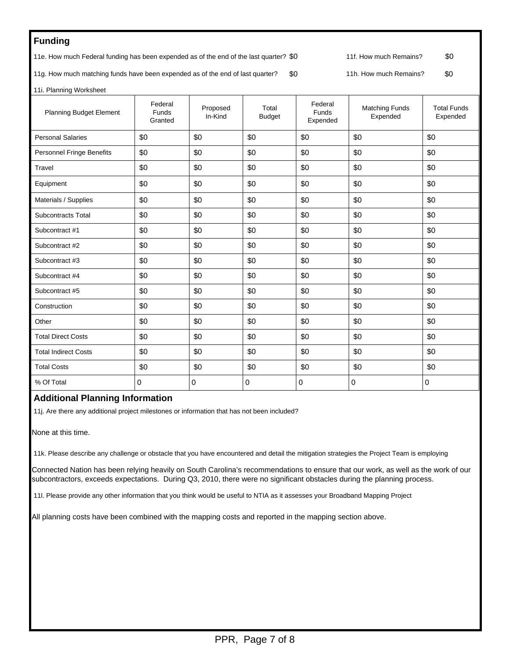## **Funding**

11e. How much Federal funding has been expended as of the end of the last quarter? \$0 11f. How much Remains? \$0

11g. How much matching funds have been expended as of the end of last quarter? \$0 11h. How much Remains? \$0

11i. Planning Worksheet

| <b>Planning Budget Element</b> | Federal<br>Funds<br>Granted | Proposed<br>In-Kind | Total<br><b>Budget</b> | Federal<br>Funds<br>Expended | <b>Matching Funds</b><br>Expended | <b>Total Funds</b><br>Expended |
|--------------------------------|-----------------------------|---------------------|------------------------|------------------------------|-----------------------------------|--------------------------------|
| <b>Personal Salaries</b>       | \$0                         | \$0                 | \$0                    | \$0                          | \$0                               | \$0                            |
| Personnel Fringe Benefits      | \$0                         | \$0                 | \$0                    | \$0                          | \$0                               | \$0                            |
| Travel                         | \$0                         | \$0                 | \$0                    | \$0                          | \$0                               | \$0                            |
| Equipment                      | \$0                         | \$0                 | \$0                    | \$0                          | \$0                               | \$0                            |
| Materials / Supplies           | \$0                         | \$0                 | \$0                    | \$0                          | \$0                               | \$0                            |
| <b>Subcontracts Total</b>      | \$0                         | \$0                 | \$0                    | \$0                          | \$0                               | \$0                            |
| Subcontract #1                 | \$0                         | \$0                 | \$0                    | \$0                          | \$0                               | \$0                            |
| Subcontract #2                 | \$0                         | \$0                 | \$0                    | \$0                          | \$0                               | \$0                            |
| Subcontract #3                 | \$0                         | \$0                 | \$0                    | \$0                          | \$0                               | \$0                            |
| Subcontract #4                 | \$0                         | \$0                 | \$0                    | \$0                          | \$0                               | \$0                            |
| Subcontract #5                 | \$0                         | \$0                 | \$0                    | \$0                          | \$0                               | \$0                            |
| Construction                   | \$0                         | \$0                 | \$0                    | \$0                          | \$0                               | \$0                            |
| Other                          | \$0                         | \$0                 | \$0                    | \$0                          | \$0                               | \$0                            |
| <b>Total Direct Costs</b>      | \$0                         | \$0                 | \$0                    | \$0                          | \$0                               | \$0                            |
| <b>Total Indirect Costs</b>    | \$0                         | \$0                 | \$0                    | \$0                          | \$0                               | \$0                            |
| <b>Total Costs</b>             | \$0                         | \$0                 | \$0                    | \$0                          | \$0                               | \$0                            |
| % Of Total                     | 0                           | 0                   | 0                      | $\Omega$                     | $\mathbf 0$                       | 0                              |
|                                |                             |                     |                        |                              |                                   |                                |

## **Additional Planning Information**

11j. Are there any additional project milestones or information that has not been included?

None at this time.

11k. Please describe any challenge or obstacle that you have encountered and detail the mitigation strategies the Project Team is employing

Connected Nation has been relying heavily on South Carolina's recommendations to ensure that our work, as well as the work of our subcontractors, exceeds expectations. During Q3, 2010, there were no significant obstacles during the planning process.

11l. Please provide any other information that you think would be useful to NTIA as it assesses your Broadband Mapping Project

All planning costs have been combined with the mapping costs and reported in the mapping section above.